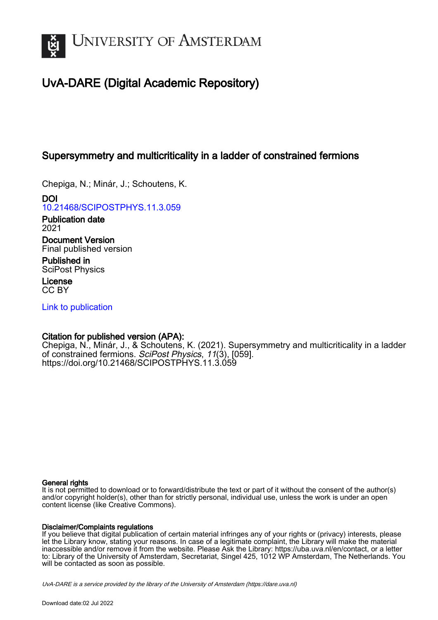

# UvA-DARE (Digital Academic Repository)

# Supersymmetry and multicriticality in a ladder of constrained fermions

Chepiga, N.; Minár, J.; Schoutens, K.

DOI [10.21468/SCIPOSTPHYS.11.3.059](https://doi.org/10.21468/SCIPOSTPHYS.11.3.059)

Publication date 2021

Document Version Final published version

Published in SciPost Physics

License CC BY

[Link to publication](https://dare.uva.nl/personal/pure/en/publications/supersymmetry-and-multicriticality-in-a-ladder-of-constrained-fermions(23783260-7baf-47e2-b987-136b212e28e4).html)

# Citation for published version (APA):

Chepiga, N., Minár, J., & Schoutens, K. (2021). Supersymmetry and multicriticality in a ladder of constrained fermions. SciPost Physics, 11(3), [059]. <https://doi.org/10.21468/SCIPOSTPHYS.11.3.059>

#### General rights

It is not permitted to download or to forward/distribute the text or part of it without the consent of the author(s) and/or copyright holder(s), other than for strictly personal, individual use, unless the work is under an open content license (like Creative Commons).

#### Disclaimer/Complaints regulations

If you believe that digital publication of certain material infringes any of your rights or (privacy) interests, please let the Library know, stating your reasons. In case of a legitimate complaint, the Library will make the material inaccessible and/or remove it from the website. Please Ask the Library: https://uba.uva.nl/en/contact, or a letter to: Library of the University of Amsterdam, Secretariat, Singel 425, 1012 WP Amsterdam, The Netherlands. You will be contacted as soon as possible.

UvA-DARE is a service provided by the library of the University of Amsterdam (http*s*://dare.uva.nl)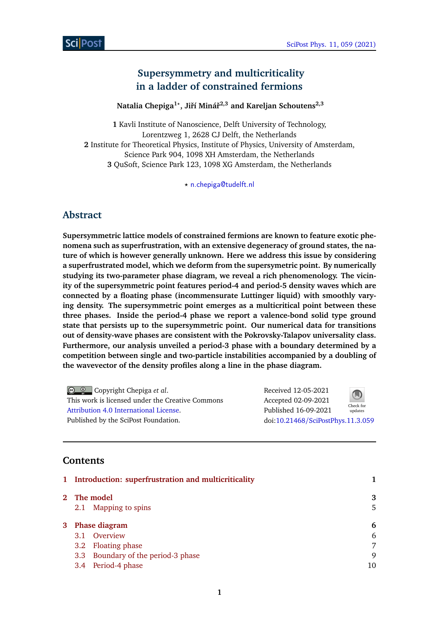# **Supersymmetry and multicriticality in a ladder of constrained fermions**

**Natalia Chepiga1***?* **, Jiˇrí Mináˇr 2,3 and Kareljan Schoutens2,3**

**1** Kavli Institute of Nanoscience, Delft University of Technology, Lorentzweg 1, 2628 CJ Delft, the Netherlands **2** Institute for Theoretical Physics, Institute of Physics, University of Amsterdam, Science Park 904, 1098 XH Amsterdam, the Netherlands **3** QuSoft, Science Park 123, 1098 XG Amsterdam, the Netherlands

*?* [n.chepiga@tudelft.nl](mailto:n.chepiga@tudelft.nl)

# **Abstract**

**Supersymmetric lattice models of constrained fermions are known to feature exotic phenomena such as superfrustration, with an extensive degeneracy of ground states, the nature of which is however generally unknown. Here we address this issue by considering a superfrustrated model, which we deform from the supersymetric point. By numerically studying its two-parameter phase diagram, we reveal a rich phenomenology. The vicinity of the supersymmetric point features period-4 and period-5 density waves which are connected by a floating phase (incommensurate Luttinger liquid) with smoothly varying density. The supersymmetric point emerges as a multicritical point between these three phases. Inside the period-4 phase we report a valence-bond solid type ground state that persists up to the supersymmetric point. Our numerical data for transitions out of density-wave phases are consistent with the Pokrovsky-Talapov universality class. Furthermore, our analysis unveiled a period-3 phase with a boundary determined by a competition between single and two-particle instabilities accompanied by a doubling of the wavevector of the density profiles along a line in the phase diagram.**

Copyright Chepiga *et al*. This work is licensed under the Creative Commons [Attribution 4.0 International License.](http://creativecommons.org/licenses/by/4.0/) Published by the SciPost Foundation.

Received 12-05-2021 Accepted 02-09-2021 Published 16-09-2021 Check for updates doi:10.21468/[SciPostPhys.11.3.059](https://doi.org/10.21468/SciPostPhys.11.3.059)

# **Contents**

|                 | 1 Introduction: superfrustration and multicriticality |    |
|-----------------|-------------------------------------------------------|----|
| 2 The model     | 3                                                     |    |
|                 | 2.1 Mapping to spins                                  | 5  |
| 3 Phase diagram | 6                                                     |    |
|                 | 3.1 Overview                                          | 6  |
|                 | 3.2 Floating phase                                    | 7  |
|                 | 3.3 Boundary of the period-3 phase                    | 9  |
| 3.4             | Period-4 phase                                        | 10 |
|                 |                                                       |    |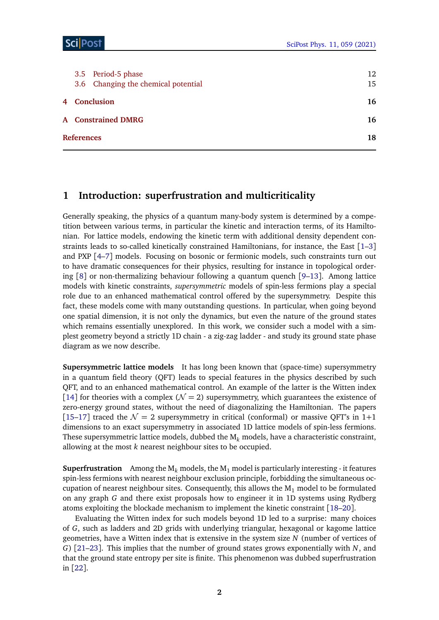### Sci Post

|                   | 3.5 Period-5 phase<br>3.6 Changing the chemical potential | 12<br>15 |  |  |  |  |
|-------------------|-----------------------------------------------------------|----------|--|--|--|--|
| 4 Conclusion      |                                                           |          |  |  |  |  |
|                   | <b>A</b> Constrained DMRG                                 | 16       |  |  |  |  |
| <b>References</b> |                                                           |          |  |  |  |  |

# <span id="page-2-0"></span>**1 Introduction: superfrustration and multicriticality**

Generally speaking, the physics of a quantum many-body system is determined by a competition between various terms, in particular the kinetic and interaction terms, of its Hamiltonian. For lattice models, endowing the kinetic term with additional density dependent constraints leads to so-called kinetically constrained Hamiltonians, for instance, the East  $\lceil 1-3 \rceil$  $\lceil 1-3 \rceil$  $\lceil 1-3 \rceil$ and PXP [[4](#page-19-1)[–7](#page-19-2)] models. Focusing on bosonic or fermionic models, such constraints turn out to have dramatic consequences for their physics, resulting for instance in topological ordering [[8](#page-19-3)] or non-thermalizing behaviour following a quantum quench [[9](#page-19-4)[–13](#page-19-5)]. Among lattice models with kinetic constraints, *supersymmetric* models of spin-less fermions play a special role due to an enhanced mathematical control offered by the supersymmetry. Despite this fact, these models come with many outstanding questions. In particular, when going beyond one spatial dimension, it is not only the dynamics, but even the nature of the ground states which remains essentially unexplored. In this work, we consider such a model with a simplest geometry beyond a strictly 1D chain - a zig-zag ladder - and study its ground state phase diagram as we now describe.

**Supersymmetric lattice models** It has long been known that (space-time) supersymmetry in a quantum field theory (QFT) leads to special features in the physics described by such QFT, and to an enhanced mathematical control. An example of the latter is the Witten index [[14](#page-19-6)] for theories with a complex ( $\mathcal{N} = 2$ ) supersymmetry, which guarantees the existence of zero-energy ground states, without the need of diagonalizing the Hamiltonian. The papers [[15](#page-19-7)[–17](#page-19-8)] traced the  $\mathcal{N} = 2$  supersymmetry in critical (conformal) or massive QFT's in 1+1 dimensions to an exact supersymmetry in associated 1D lattice models of spin-less fermions. These supersymmetric lattice models, dubbed the M*<sup>k</sup>* models, have a characteristic constraint, allowing at the most *k* nearest neighbour sites to be occupied.

**Superfrustration** Among the  $M_k$  models, the  $M_1$  model is particularly interesting - it features spin-less fermions with nearest neighbour exclusion principle, forbidding the simultaneous occupation of nearest neighbour sites. Consequently, this allows the  $M_1$  model to be formulated on any graph *G* and there exist proposals how to engineer it in 1D systems using Rydberg atoms exploiting the blockade mechanism to implement the kinetic constraint [[18](#page-19-9)[–20](#page-20-0)].

Evaluating the Witten index for such models beyond 1D led to a surprise: many choices of *G*, such as ladders and 2D grids with underlying triangular, hexagonal or kagome lattice geometries, have a Witten index that is extensive in the system size *N* (number of vertices of *G*) [[21–](#page-20-1)[23](#page-20-2)]. This implies that the number of ground states grows exponentially with *N*, and that the ground state entropy per site is finite. This phenomenon was dubbed superfrustration in [[22](#page-20-3)].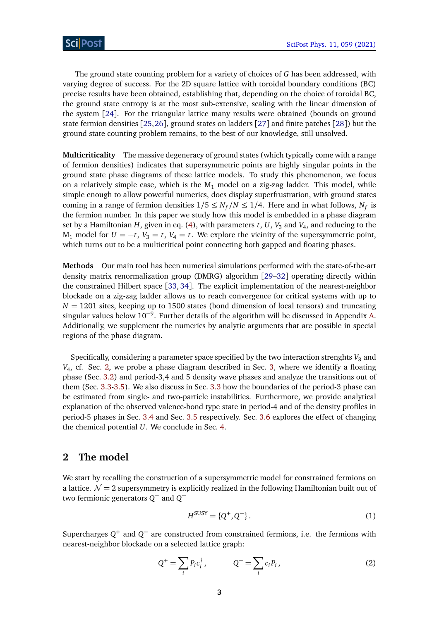The ground state counting problem for a variety of choices of *G* has been addressed, with varying degree of success. For the 2D square lattice with toroidal boundary conditions (BC) precise results have been obtained, establishing that, depending on the choice of toroidal BC, the ground state entropy is at the most sub-extensive, scaling with the linear dimension of the system [[24](#page-20-4)]. For the triangular lattice many results were obtained (bounds on ground state fermion densities [[25,](#page-20-5)[26](#page-20-6)], ground states on ladders [[27](#page-20-7)] and finite patches [[28](#page-20-8)]) but the ground state counting problem remains, to the best of our knowledge, still unsolved.

**Multicriticality** The massive degeneracy of ground states (which typically come with a range of fermion densities) indicates that supersymmetric points are highly singular points in the ground state phase diagrams of these lattice models. To study this phenomenon, we focus on a relatively simple case, which is the  $M_1$  model on a zig-zag ladder. This model, while simple enough to allow powerful numerics, does display superfrustration, with ground states coming in a range of fermion densities  $1/5 \le N_f/N \le 1/4$ . Here and in what follows,  $N_f$  is the fermion number. In this paper we study how this model is embedded in a phase diagram set by a Hamiltonian *H*, given in eq. [\(4\)](#page-4-0), with parameters *t*, *U*, *V*<sup>3</sup> and *V*<sup>4</sup> , and reducing to the M<sub>1</sub> model for  $U = -t$ ,  $V_3 = t$ ,  $V_4 = t$ . We explore the vicinity of the supersymmetric point, which turns out to be a multicritical point connecting both gapped and floating phases.

**Methods** Our main tool has been numerical simulations performed with the state-of-the-art density matrix renormalization group (DMRG) algorithm [[29](#page-20-9)[–32](#page-20-10)] operating directly within the constrained Hilbert space [[33,](#page-20-11) [34](#page-20-12)]. The explicit implementation of the nearest-neighbor blockade on a zig-zag ladder allows us to reach convergence for critical systems with up to  $N = 1201$  sites, keeping up to 1500 states (bond dimension of local tensors) and truncating singular values below 10−<sup>9</sup> . Further details of the algorithm will be discussed in Appendix [A.](#page-17-0) Additionally, we supplement the numerics by analytic arguments that are possible in special regions of the phase diagram.

Specifically, considering a parameter space specified by the two interaction strenghts  $V_3$  and *V*4 , cf. Sec. [2,](#page-3-0) we probe a phase diagram described in Sec. [3,](#page-6-0) where we identify a floating phase (Sec. [3.2\)](#page-7-0) and period-3,4 and 5 density wave phases and analyze the transitions out of them (Sec. [3.3-](#page-9-0)[3.5\)](#page-12-0). We also discuss in Sec. [3.3](#page-9-0) how the boundaries of the period-3 phase can be estimated from single- and two-particle instabilities. Furthermore, we provide analytical explanation of the observed valence-bond type state in period-4 and of the density profiles in period-5 phases in Sec. [3.4](#page-11-0) and Sec. [3.5](#page-12-0) respectively. Sec. [3.6](#page-15-0) explores the effect of changing the chemical potential *U*. We conclude in Sec. [4.](#page-15-1)

### <span id="page-3-0"></span>**2 The model**

We start by recalling the construction of a supersymmetric model for constrained fermions on a lattice.  $\mathcal{N} = 2$  supersymmetry is explicitly realized in the following Hamiltonian built out of two fermionic generators *Q* <sup>+</sup> and *Q* −

$$
H^{\text{SUSY}} = \{Q^+, Q^-\}.
$$
 (1)

Supercharges  $Q^+$  and  $Q^-$  are constructed from constrained fermions, i.e. the fermions with nearest-neighbor blockade on a selected lattice graph:

$$
Q^+ = \sum_i P_i c_i^\dagger, \qquad Q^- = \sum_i c_i P_i, \qquad (2)
$$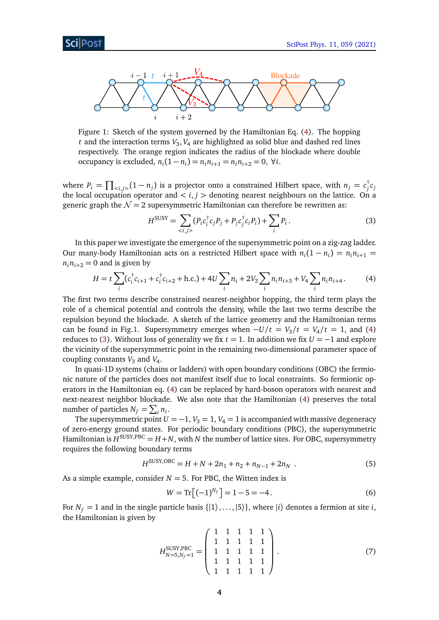<span id="page-4-1"></span>

Figure 1: Sketch of the system governed by the Hamiltonian Eq. [\(4\)](#page-4-0). The hopping *t* and the interaction terms *V*<sup>3</sup> , *V*<sup>4</sup> are highlighted as solid blue and dashed red lines respectively. The orange region indicates the radius of the blockade where double occupancy is excluded,  $n_i(1 - n_i) = n_i n_{i+1} = n_i n_{i+2} = 0$ ,  $\forall i$ .

where  $P_i = \prod_{\langle i,j \rangle} (1 - n_j)$  is a projector onto a constrained Hilbert space, with  $n_j = c_j^{\dagger}$ *j cj* the local occupation operator and  $\lt i, j >$  denoting nearest neighbours on the lattice. On a generic graph the  $\mathcal{N} = 2$  supersymmetric Hamiltonian can therefore be rewritten as:

<span id="page-4-2"></span><span id="page-4-0"></span>
$$
H^{\text{SUSY}} = \sum_{\langle i,j \rangle} (P_i c_i^{\dagger} c_j P_j + P_j c_j^{\dagger} c_i P_i) + \sum_i P_i.
$$
 (3)

In this paper we investigate the emergence of the supersymmetric point on a zig-zag ladder. Our many-body Hamiltonian acts on a restricted Hilbert space with  $n_i(1 - n_i) = n_i n_{i+1}$  $n_i n_{i+2} = 0$  and is given by

$$
H = t \sum_{i} (c_i^{\dagger} c_{i+1} + c_i^{\dagger} c_{i+2} + \text{h.c.}) + 4U \sum_{i} n_i + 2V_3 \sum_{i} n_i n_{i+3} + V_4 \sum_{i} n_i n_{i+4}.
$$
 (4)

The first two terms describe constrained nearest-neighbor hopping, the third term plays the role of a chemical potential and controls the density, while the last two terms describe the repulsion beyond the blockade. A sketch of the lattice geometry and the Hamiltonian terms can be found in Fig[.1.](#page-4-1) Supersymmetry emerges when  $-U/t = V_3/t = V_4/t = 1$ , and [\(4\)](#page-4-0) reduces to [\(3\)](#page-4-2). Without loss of generality we fix  $t = 1$ . In addition we fix  $U = -1$  and explore the vicinity of the supersymmetric point in the remaining two-dimensional parameter space of coupling constants  $V_3$  and  $V_4$ .

In quasi-1D systems (chains or ladders) with open boundary conditions (OBC) the fermionic nature of the particles does not manifest itself due to local constraints. So fermionic operators in the Hamiltonian eq. [\(4\)](#page-4-0) can be replaced by hard-boson operators with nearest and next-nearest neighbor blockade. We also note that the Hamiltonian [\(4\)](#page-4-0) preserves the total number of particles  $N_f = \sum_i n_i$ .

The supersymmetric point  $U = -1$ ,  $V_3 = 1$ ,  $V_4 = 1$  is accompanied with massive degeneracy of zero-energy ground states. For periodic boundary conditions (PBC), the supersymmetric Hamiltonian is  $H^{\text{SUSY,PBC}} = H+N$  , with  $N$  the number of lattice sites. For OBC, supersymmetry requires the following boundary terms

$$
H^{\text{SUSY,OBC}} = H + N + 2n_1 + n_2 + n_{N-1} + 2n_N \tag{5}
$$

As a simple example, consider  $N = 5$ . For PBC, the Witten index is

<span id="page-4-4"></span>
$$
W = \text{Tr}\left[(-1)^{N_f}\right] = 1 - 5 = -4. \tag{6}
$$

For  $N_f = 1$  and in the single particle basis  $\{|1\rangle, \ldots, |5\rangle\}$ , where  $|i\rangle$  denotes a fermion at site *i*, the Hamiltonian is given by

<span id="page-4-3"></span>
$$
H_{N=5,N_f=1}^{\text{SUSY,PBC}} = \begin{pmatrix} 1 & 1 & 1 & 1 & 1 \\ 1 & 1 & 1 & 1 & 1 \\ 1 & 1 & 1 & 1 & 1 \\ 1 & 1 & 1 & 1 & 1 \\ 1 & 1 & 1 & 1 & 1 \end{pmatrix} . \tag{7}
$$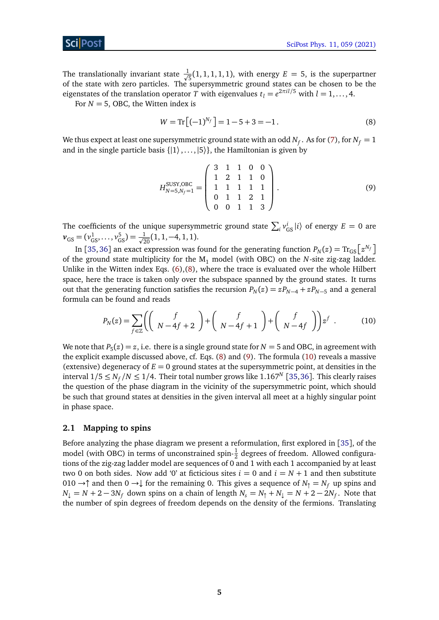The translationally invariant state  $\frac{1}{\sqrt{2}}$  $\frac{1}{5}(1, 1, 1, 1, 1)$ , with energy  $E = 5$ , is the superpartner of the state with zero particles. The supersymmetric ground states can be chosen to be the eigenstates of the translation operator *T* with eigenvalues  $t_l = e^{2\pi i l/5}$  with  $l = 1, ..., 4$ .

For  $N = 5$ , OBC, the Witten index is

<span id="page-5-2"></span><span id="page-5-1"></span>
$$
W = \text{Tr}\left[(-1)^{N_f}\right] = 1 - 5 + 3 = -1.
$$
\n(8)

We thus expect at least one supersymmetric ground state with an odd  $N_f.$  As for [\(7\)](#page-4-3), for  $N_f=1$ and in the single particle basis  $\{|1\rangle, \ldots, |5\rangle\}$ , the Hamiltonian is given by

$$
H_{N=5,N_f=1}^{\text{SUSY,OBC}} = \begin{pmatrix} 3 & 1 & 1 & 0 & 0 \\ 1 & 2 & 1 & 1 & 0 \\ 1 & 1 & 1 & 1 & 1 \\ 0 & 1 & 1 & 2 & 1 \\ 0 & 0 & 1 & 1 & 3 \end{pmatrix} . \tag{9}
$$

The coefficients of the unique supersymmetric ground state  $\sum_i v_{GS}^i|i\rangle$  of energy  $E = 0$  are  $v_{\text{GS}} = (v_{\text{GS}}^1, \dots, v_{\text{GS}}^5) = \frac{1}{\sqrt{20}}(1, 1, -4, 1, 1).$ 

In [[35,](#page-20-13) [36](#page-20-14)] an exact expression was found for the generating function  $P_N(z) = \text{Tr}_{\text{GS}}\!\left[z^{N_f}\right]$ of the ground state multiplicity for the  $M_1$  model (with OBC) on the *N*-site zig-zag ladder. Unlike in the Witten index Eqs.  $(6)$ , $(8)$ , where the trace is evaluated over the whole Hilbert space, here the trace is taken only over the subspace spanned by the ground states. It turns out that the generating function satisfies the recursion  $P_N(z) = zP_{N-4} + zP_{N-5}$  and a general formula can be found and reads

<span id="page-5-3"></span>
$$
P_N(z) = \sum_{f \in \mathbb{Z}} \left( \begin{pmatrix} f \\ N - 4f + 2 \end{pmatrix} + \begin{pmatrix} f \\ N - 4f + 1 \end{pmatrix} + \begin{pmatrix} f \\ N - 4f \end{pmatrix} \right) z^f . \tag{10}
$$

We note that  $P_5(z) = z$ , i.e. there is a single ground state for  $N = 5$  and OBC, in agreement with the explicit example discussed above, cf. Eqs. [\(8\)](#page-5-1) and [\(9\)](#page-5-2). The formula [\(10\)](#page-5-3) reveals a massive (extensive) degeneracy of  $E = 0$  ground states at the supersymmetric point, at densities in the interval  $1/5 \le N_f/N \le 1/4.$  Their total number grows like  $1.167^N$  [[35,](#page-20-13)[36](#page-20-14)]. This clearly raises the question of the phase diagram in the vicinity of the supersymmetric point, which should be such that ground states at densities in the given interval all meet at a highly singular point in phase space.

#### <span id="page-5-0"></span>**2.1 Mapping to spins**

Before analyzing the phase diagram we present a reformulation, first explored in [[35](#page-20-13)], of the model (with OBC) in terms of unconstrained spin- $\frac{1}{2}$  degrees of freedom. Allowed configurations of the zig-zag ladder model are sequences of 0 and 1 with each 1 accompanied by at least two 0 on both sides. Now add '0' at ficticious sites  $i = 0$  and  $i = N + 1$  and then substitute 010 →↑ and then 0 →↓ for the remaining 0. This gives a sequence of  $N_{\uparrow} = N_f$  up spins and  $N_\downarrow = N + 2 - 3 N_f$  down spins on a chain of length  $N_s = N_\uparrow + N_\downarrow = N + 2 - 2 N_f$ . Note that the number of spin degrees of freedom depends on the density of the fermions. Translating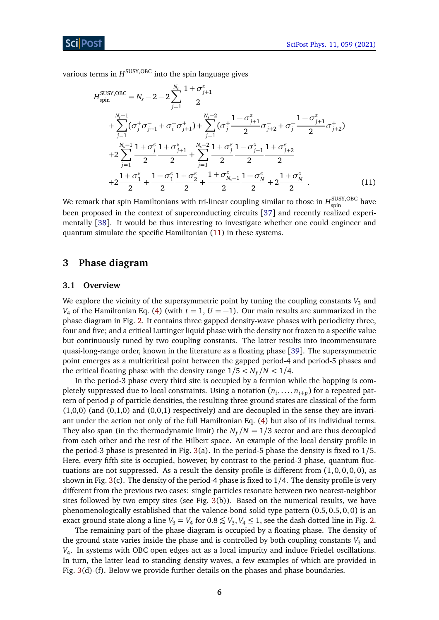various terms in *H* SUSY,OBC into the spin language gives

<span id="page-6-2"></span>
$$
H_{spin}^{SUSY,OBC} = N_s - 2 - 2 \sum_{j=1}^{N_s} \frac{1 + \sigma_{j+1}^z}{2}
$$
  
+ 
$$
\sum_{j=1}^{N_s-1} (\sigma_j^+ \sigma_{j+1}^- + \sigma_i^- \sigma_{j+1}^+) + \sum_{j=1}^{N_s-2} (\sigma_j^+ \frac{1 - \sigma_{j+1}^z}{2} \sigma_{j+2}^- + \sigma_j^- \frac{1 - \sigma_{j+1}^z}{2} \sigma_{j+2}^+)
$$
  
+ 
$$
2 \sum_{j=1}^{N_s-1} \frac{1 + \sigma_j^z}{2} \frac{1 + \sigma_{j+1}^z}{2} + \sum_{j=1}^{N_s-2} \frac{1 + \sigma_j^z}{2} \frac{1 - \sigma_{j+1}^z}{2} \frac{1 + \sigma_{j+2}^z}{2}
$$
  
+ 
$$
2 \frac{1 + \sigma_1^z}{2} + \frac{1 - \sigma_1^z}{2} \frac{1 + \sigma_2^z}{2} + \frac{1 + \sigma_{N_s-1}^z}{2} \frac{1 - \sigma_N^z}{2} + 2 \frac{1 + \sigma_N^z}{2}.
$$
 (11)

We remark that spin Hamiltonians with tri-linear coupling similar to those in  $H_{\rm spin}^{\rm SUSY, OBC}$  have been proposed in the context of superconducting circuits [[37](#page-21-0)] and recently realized experimentally [[38](#page-21-1)]. It would be thus interesting to investigate whether one could engineer and quantum simulate the specific Hamiltonian [\(11\)](#page-6-2) in these systems.

# <span id="page-6-0"></span>**3 Phase diagram**

#### <span id="page-6-1"></span>**3.1 Overview**

We explore the vicinity of the supersymmetric point by tuning the coupling constants  $V_3$  and *V*<sub>4</sub> of the Hamiltonian Eq. [\(4\)](#page-4-0) (with  $t = 1$ ,  $U = -1$ ). Our main results are summarized in the phase diagram in Fig. [2.](#page-7-1) It contains three gapped density-wave phases with periodicity three, four and five; and a critical Luttinger liquid phase with the density not frozen to a specific value but continuously tuned by two coupling constants. The latter results into incommensurate quasi-long-range order, known in the literature as a floating phase [[39](#page-21-2)]. The supersymmetric point emerges as a multicritical point between the gapped period-4 and period-5 phases and the critical floating phase with the density range  $1/5 < N_f/N < 1/4$ .

In the period-3 phase every third site is occupied by a fermion while the hopping is completely suppressed due to local constraints. Using a notation  $(n_i,\ldots,n_{i+p})$  for a repeated pattern of period *p* of particle densities, the resulting three ground states are classical of the form  $(1,0,0)$  (and  $(0,1,0)$  and  $(0,0,1)$  respectively) and are decoupled in the sense they are invariant under the action not only of the full Hamiltonian Eq. [\(4\)](#page-4-0) but also of its individual terms. They also span (in the thermodynamic limit) the  $N_f/N = 1/3$  sector and are thus decoupled from each other and the rest of the Hilbert space. An example of the local density profile in the period-3 phase is presented in Fig.  $3(a)$  $3(a)$ . In the period-5 phase the density is fixed to  $1/5$ . Here, every fifth site is occupied, however, by contrast to the period-3 phase, quantum fluctuations are not suppressed. As a result the density profile is different from  $(1, 0, 0, 0, 0)$ , as shown in Fig. [3\(](#page-8-0)c). The density of the period-4 phase is fixed to 1/4. The density profile is very different from the previous two cases: single particles resonate between two nearest-neighbor sites followed by two empty sites (see Fig.  $3(b)$  $3(b)$ ). Based on the numerical results, we have phenomenologically established that the valence-bond solid type pattern (0.5, 0.5, 0, 0) is an exact ground state along a line  $V_3 = V_4$  for  $0.8 \lesssim V_3$ ,  $V_4 \leq 1$ , see the dash-dotted line in Fig. [2.](#page-7-1)

The remaining part of the phase diagram is occupied by a floating phase. The density of the ground state varies inside the phase and is controlled by both coupling constants  $V_3$  and *V*4 . In systems with OBC open edges act as a local impurity and induce Friedel oscillations. In turn, the latter lead to standing density waves, a few examples of which are provided in Fig. [3\(](#page-8-0)d)-(f). Below we provide further details on the phases and phase boundaries.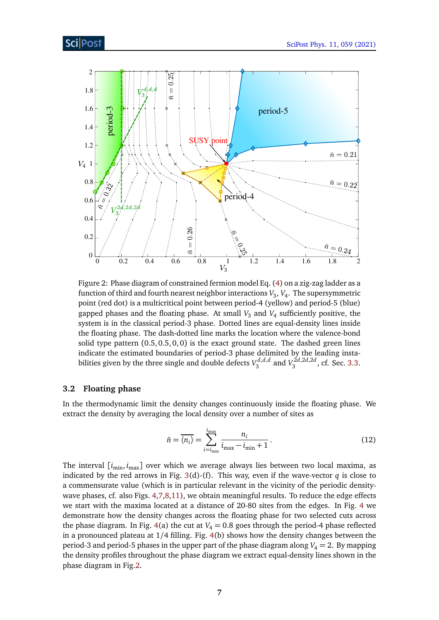<span id="page-7-1"></span>

Figure 2: Phase diagram of constrained fermion model Eq. [\(4\)](#page-4-0) on a zig-zag ladder as a function of third and fourth nearest neighbor interactions *V*<sup>3</sup> , *V*<sup>4</sup> . The supersymmetric point (red dot) is a multicritical point between period-4 (yellow) and period-5 (blue) gapped phases and the floating phase. At small *V*<sup>3</sup> and *V*<sup>4</sup> sufficiently positive, the system is in the classical period-3 phase. Dotted lines are equal-density lines inside the floating phase. The dash-dotted line marks the location where the valence-bond solid type pattern  $(0.5, 0.5, 0, 0)$  is the exact ground state. The dashed green lines indicate the estimated boundaries of period-3 phase delimited by the leading instabilities given by the three single and double defects  $V_3^{d,d,d}$ 3 and *V* 2*d*,2*d*,2*d*  $\frac{a_1}{3}$ , cf. Sec. [3.3.](#page-9-0)

#### <span id="page-7-0"></span>**3.2 Floating phase**

In the thermodynamic limit the density changes continuously inside the floating phase. We extract the density by averaging the local density over a number of sites as

$$
\bar{n} = \overline{\langle n_i \rangle} = \sum_{i=i_{\text{min}}}^{i_{\text{max}}} \frac{n_i}{i_{\text{max}} - i_{\text{min}} + 1}.
$$
\n(12)

The interval  $[i_{\min}, i_{\max}]$  over which we average always lies between two local maxima, as indicated by the red arrows in Fig. [3\(](#page-8-0)d)-(f). This way, even if the wave-vector *q* is close to a commensurate value (which is in particular relevant in the vicinity of the periodic densitywave phases, cf. also Figs. [4,](#page-8-1)[7,](#page-11-1)[8,](#page-13-0)[11\)](#page-15-2), we obtain meaningful results. To reduce the edge effects we start with the maxima located at a distance of 20-80 sites from the edges. In Fig. [4](#page-8-1) we demonstrate how the density changes across the floating phase for two selected cuts across the phase diagram. In Fig.  $4(a)$  $4(a)$  the cut at  $V_4 = 0.8$  goes through the period-4 phase reflected in a pronounced plateau at 1*/*4 filling. Fig. [4\(](#page-8-1)b) shows how the density changes between the period-3 and period-5 phases in the upper part of the phase diagram along  $V_4 = 2$ . By mapping the density profiles throughout the phase diagram we extract equal-density lines shown in the phase diagram in Fig[.2.](#page-7-1)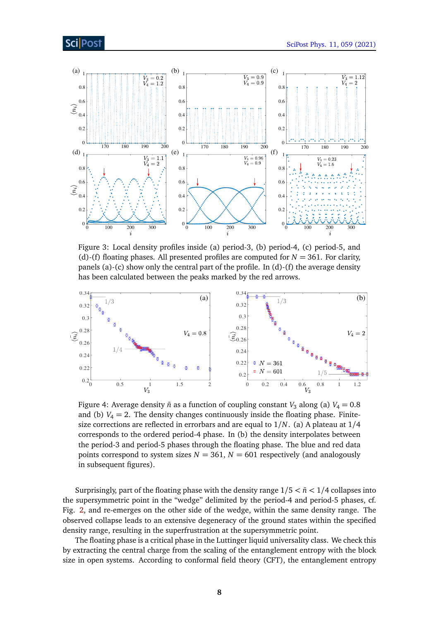<span id="page-8-0"></span>

Figure 3: Local density profiles inside (a) period-3, (b) period-4, (c) period-5, and (d)-(f) floating phases. All presented profiles are computed for  $N = 361$ . For clarity, panels (a)-(c) show only the central part of the profile. In (d)-(f) the average density has been calculated between the peaks marked by the red arrows.

<span id="page-8-1"></span>

Figure 4: Average density  $\bar{n}$  as a function of coupling constant *V*<sub>3</sub> along (a) *V*<sub>4</sub> = 0.8 and (b)  $V_4 = 2$ . The density changes continuously inside the floating phase. Finitesize corrections are reflected in errorbars and are equal to 1*/N*. (a) A plateau at 1*/*4 corresponds to the ordered period-4 phase. In (b) the density interpolates between the period-3 and period-5 phases through the floating phase. The blue and red data points correspond to system sizes  $N = 361$ ,  $N = 601$  respectively (and analogously in subsequent figures).

Surprisingly, part of the floating phase with the density range  $1/5 < \bar{n} < 1/4$  collapses into the supersymmetric point in the "wedge" delimited by the period-4 and period-5 phases, cf. Fig. [2,](#page-7-1) and re-emerges on the other side of the wedge, within the same density range. The observed collapse leads to an extensive degeneracy of the ground states within the specified density range, resulting in the superfrustration at the supersymmetric point.

The floating phase is a critical phase in the Luttinger liquid universality class. We check this by extracting the central charge from the scaling of the entanglement entropy with the block size in open systems. According to conformal field theory (CFT), the entanglement entropy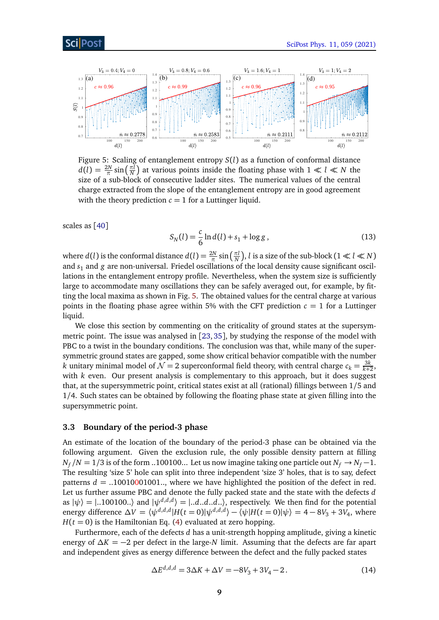<span id="page-9-1"></span>

Figure 5: Scaling of entanglement entropy *S*(*l*) as a function of conformal distance  $d(l) = \frac{2N}{\pi} \sin\left(\frac{\pi l}{N}\right)$  $\frac{n}{N}$ ) at various points inside the floating phase with  $1 \ll l \ll N$  the size of a sub-block of consecutive ladder sites. The numerical values of the central charge extracted from the slope of the entanglement entropy are in good agreement with the theory prediction  $c = 1$  for a Luttinger liquid.

scales as [[40](#page-21-3)]

$$
S_N(l) = \frac{c}{6} \ln d(l) + s_1 + \log g \,, \tag{13}
$$

where *d*(*l*) is the conformal distance  $d(l) = \frac{2N}{\pi} \sin\left(\frac{\pi l}{N}\right)$  $\frac{\pi l}{N}$ ), *l* is a size of the sub-block (1  $\ll l \ll N$ ) and  $s_1$  and g are non-universal. Friedel oscillations of the local density cause significant oscillations in the entanglement entropy profile. Nevertheless, when the system size is sufficiently large to accommodate many oscillations they can be safely averaged out, for example, by fitting the local maxima as shown in Fig. [5.](#page-9-1) The obtained values for the central charge at various points in the floating phase agree within 5% with the CFT prediction  $c = 1$  for a Luttinger liquid.

We close this section by commenting on the criticality of ground states at the supersymmetric point. The issue was analysed in [[23,](#page-20-2) [35](#page-20-13)], by studying the response of the model with PBC to a twist in the boundary conditions. The conclusion was that, while many of the supersymmetric ground states are gapped, some show critical behavior compatible with the number *k* unitary minimal model of  $\mathcal{N}=2$  superconformal field theory, with central charge  $c_k=\frac{3k}{k+1}$  $\frac{3K}{k+2}$ with *k* even. Our present analysis is complementary to this approach, but it does suggest that, at the supersymmetric point, critical states exist at all (rational) fillings between 1/5 and 1/4. Such states can be obtained by following the floating phase state at given filling into the supersymmetric point.

#### <span id="page-9-0"></span>**3.3 Boundary of the period-3 phase**

An estimate of the location of the boundary of the period-3 phase can be obtained via the following argument. Given the exclusion rule, the only possible density pattern at filling  $N_f/N = 1/3$  is of the form ..100100... Let us now imagine taking one particle out  $N_f \rightarrow N_f - 1$ . The resulting 'size 5' hole can split into three independent 'size 3' holes, that is to say, defect patterns  $d = 0.10010001001...$ , where we have highlighted the position of the defect in red. Let us further assume PBC and denote the fully packed state and the state with the defects *d* as  $|\psi\rangle = |..100100..\rangle$  and  $|\psi^{d,d,d}\rangle = |..d..d..d..\rangle$ , respectively. We then find for the potential energy difference  $\Delta V = \langle \psi^{d,d,d} | H(t=0) | \psi^{d,d,d} \rangle - \langle \psi | H(t=0) | \psi \rangle = 4 - 8V_3 + 3V_4$ , where  $H(t = 0)$  is the Hamiltonian Eq. [\(4\)](#page-4-0) evaluated at zero hopping.

Furthermore, each of the defects *d* has a unit-strength hopping amplitude, giving a kinetic energy of *∆K* = −2 per defect in the large-*N* limit. Assuming that the defects are far apart and independent gives as energy difference between the defect and the fully packed states

$$
\Delta E^{d,d,d} = 3\Delta K + \Delta V = -8V_3 + 3V_4 - 2. \tag{14}
$$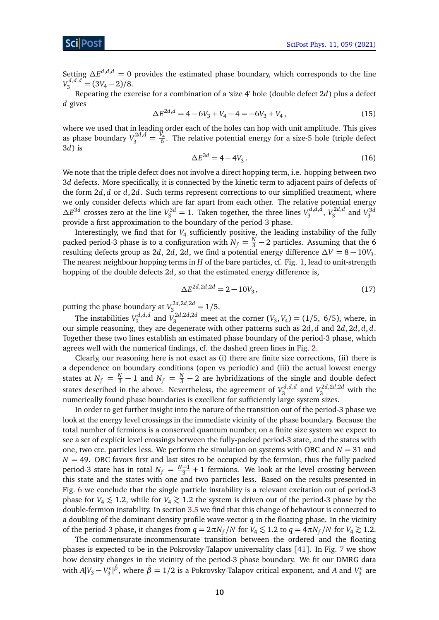Setting  $\Delta E^{d,d,d} = 0$  provides the estimated phase boundary, which corresponds to the line  $V_3^{d,d,d} = (3V_4 - 2)/8.$ 

Repeating the exercise for a combination of a 'size 4' hole (double defect 2*d*) plus a defect *d* gives

$$
\Delta E^{2d,d} = 4 - 6V_3 + V_4 - 4 = -6V_3 + V_4, \qquad (15)
$$

where we used that in leading order each of the holes can hop with unit amplitude. This gives as phase boundary  $V_3^{2d,d} = \frac{V_4}{6}$  $\frac{1}{6}$ . The relative potential energy for a size-5 hole (triple defect 3*d*) is

$$
\Delta E^{3d} = 4 - 4V_3. \tag{16}
$$

We note that the triple defect does not involve a direct hopping term, i.e. hopping between two 3*d* defects. More specifically, it is connected by the kinetic term to adjacent pairs of defects of the form 2*d*, *d* or *d*, 2*d*. Such terms represent corrections to our simplified treatment, where we only consider defects which are far apart from each other. The relative potential energy  $\Delta E^{3d}$  crosses zero at the line  $V_3^{3d} = 1$ . Taken together, the three lines  $V_3^{d,d,d}$ 3 , *V* 2*d*,*d*  $V_3^{2d,d}$  and  $V_3^{3d}$ provide a first approximation to the boundary of the period-3 phase.

Interestingly, we find that for *V*<sup>4</sup> sufficiently positive, the leading instability of the fully packed period-3 phase is to a configuration with  $N_f = \frac{N}{3} - 2$  particles. Assuming that the 6 resulting defects group as 2*d*, 2*d*, 2*d*, we find a potential energy difference  $\Delta V = 8 - 10V_3$ . The nearest neighbour hopping terms in *H* of the bare particles, cf. Fig. [1,](#page-4-1) lead to unit-strength hopping of the double defects 2*d*, so that the estimated energy difference is,

$$
\Delta E^{2d,2d,2d} = 2 - 10V_3, \tag{17}
$$

putting the phase boundary at  $V_3^{2d,2d,2d} = 1/5$ .

The instabilities  $V_3^{d,d,d}$  $V_3^{d,d,d}$  and  $V_3^{2d,2d,2d}$  meet at the corner  $(V_3, V_4) = (1/5, 6/5)$ , where, in our simple reasoning, they are degenerate with other patterns such as 2*d*, *d* and 2*d*, 2*d*, *d*, *d*. Together these two lines establish an estimated phase boundary of the period-3 phase, which agrees well with the numerical findings, cf. the dashed green lines in Fig. [2.](#page-7-1)

Clearly, our reasoning here is not exact as (i) there are finite size corrections, (ii) there is a dependence on boundary conditions (open vs periodic) and (iii) the actual lowest energy states at  $N_f = \frac{N}{3} - 1$  and  $N_f = \frac{N}{3} - 2$  are hybridizations of the single and double defect states described in the above. Nevertheless, the agreement of  $V_3^{d,d,d}$  $N_3^{d,d,d}$  and  $V_3^{2d,2d,2d}$  with the numerically found phase boundaries is excellent for sufficiently large system sizes.

In order to get further insight into the nature of the transition out of the period-3 phase we look at the energy level crossings in the immediate vicinity of the phase boundary. Because the total number of fermions is a conserved quantum number, on a finite size system we expect to see a set of explicit level crossings between the fully-packed period-3 state, and the states with one, two etc. particles less. We perform the simulation on systems with OBC and  $N = 31$  and  $N = 49$ . OBC favors first and last sites to be occupied by the fermion, thus the fully packed period-3 state has in total  $N_f = \frac{N-1}{3} + 1$  fermions. We look at the level crossing between this state and the states with one and two particles less. Based on the results presented in Fig. [6](#page-11-2) we conclude that the single particle instability is a relevant excitation out of period-3 phase for  $V_4 \lesssim 1.2$ , while for  $V_4 \gtrsim 1.2$  the system is driven out of the period-3 phase by the double-fermion instability. In section [3.5](#page-12-0) we find that this change of behaviour is connected to a doubling of the dominant density profile wave-vector *q* in the floating phase. In the vicinity of the period-3 phase, it changes from  $q = 2\pi N_f/N$  for  $V_4 \lesssim 1.2$  to  $q = 4\pi N_f/N$  for  $V_4 \gtrsim 1.2$ .

The commensurate-incommensurate transition between the ordered and the floating phases is expected to be in the Pokrovsky-Talapov universality class [[41](#page-21-4)]. In Fig. [7](#page-11-1) we show how density changes in the vicinity of the period-3 phase boundary. We fit our DMRG data with  $A|V_3 - V_3^c|^{\tilde{\beta}}$ , where  $\tilde{\beta} = 1/2$  is a Pokrovsky-Talapov critical exponent, and *A* and  $V_3^c$  are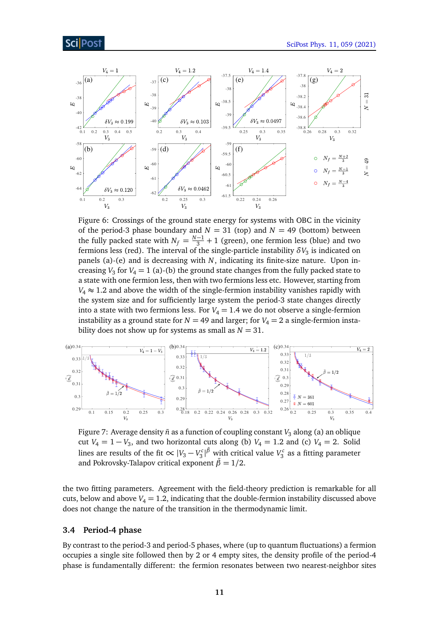

<span id="page-11-2"></span>

Figure 6: Crossings of the ground state energy for systems with OBC in the vicinity of the period-3 phase boundary and  $N = 31$  (top) and  $N = 49$  (bottom) between the fully packed state with  $N_f = \frac{N-1}{3} + 1$  (green), one fermion less (blue) and two fermions less (red). The interval of the single-particle instability  $\delta V_3$  is indicated on panels (a)-(e) and is decreasing with *N*, indicating its finite-size nature. Upon increasing  $V_3$  for  $V_4 = 1$  (a)-(b) the ground state changes from the fully packed state to a state with one fermion less, then with two fermions less etc. However, starting from  $V_4 \approx 1.2$  and above the width of the single-fermion instability vanishes rapidly with the system size and for sufficiently large system the period-3 state changes directly into a state with two fermions less. For  $V_4 = 1.4$  we do not observe a single-fermion instability as a ground state for  $N = 49$  and larger; for  $V_4 = 2$  a single-fermion instability does not show up for systems as small as  $N = 31$ .

<span id="page-11-1"></span>

Figure 7: Average density  $\bar{n}$  as a function of coupling constant  $V_3$  along (a) an oblique cut  $V_4 = 1 - V_3$ , and two horizontal cuts along (b)  $V_4 = 1.2$  and (c)  $V_4 = 2$ . Solid lines are results of the fit  $\propto |V_3 - V_3^c|^{\tilde{\beta}}$  with critical value  $V_3^c$  as a fitting parameter and Pokrovsky-Talapov critical exponent  $\bar{\beta} = 1/2$ .

the two fitting parameters. Agreement with the field-theory prediction is remarkable for all cuts, below and above  $V_4 = 1.2$ , indicating that the double-fermion instability discussed above does not change the nature of the transition in the thermodynamic limit.

#### <span id="page-11-0"></span>**3.4 Period-4 phase**

By contrast to the period-3 and period-5 phases, where (up to quantum fluctuations) a fermion occupies a single site followed then by 2 or 4 empty sites, the density profile of the period-4 phase is fundamentally different: the fermion resonates between two nearest-neighbor sites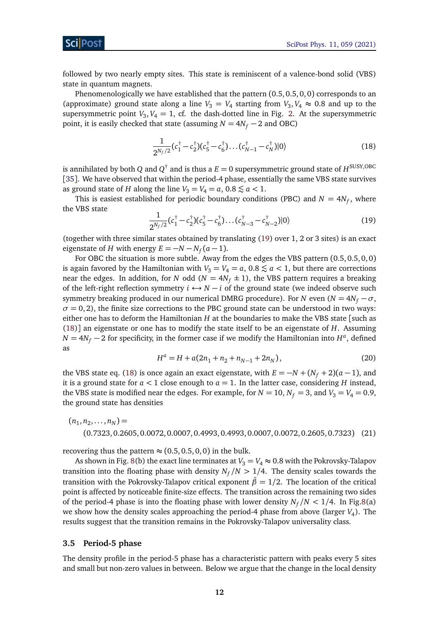ScilPos

followed by two nearly empty sites. This state is reminiscent of a valence-bond solid (VBS) state in quantum magnets.

Phenomenologically we have established that the pattern (0.5, 0.5, 0, 0) corresponds to an (approximate) ground state along a line  $V_3 = V_4$  starting from  $V_3$ ,  $V_4 \approx 0.8$  and up to the supersymmetric point  $V_3$ ,  $V_4 = 1$ , cf. the dash-dotted line in Fig. [2.](#page-7-1) At the supersymmetric point, it is easily checked that state (assuming  $N = 4N_f - 2$  and OBC)

<span id="page-12-2"></span>
$$
\frac{1}{2^{N_f/2}}(c_1^\dagger - c_2^\dagger)(c_5^\dagger - c_6^\dagger)\dots(c_{N-1}^\dagger - c_N^\dagger)|0\rangle\tag{18}
$$

is annihilated by both  $Q$  and  $Q^\dagger$  and is thus a  $E=0$  supersymmetric ground state of  $H^{\rm SUSY, OBC}$ [[35](#page-20-13)]. We have observed that within the period-4 phase, essentially the same VBS state survives as ground state of *H* along the line  $V_3 = V_4 = a$ ,  $0.8 \le a < 1$ .

This is easiest established for periodic boundary conditions (PBC) and  $N = 4N_f$ , where the VBS state

<span id="page-12-1"></span>
$$
\frac{1}{2^{N_f/2}}(c_1^{\dagger}-c_2^{\dagger})(c_5^{\dagger}-c_6^{\dagger})\dots(c_{N-3}^{\dagger}-c_{N-2}^{\dagger})|0\rangle \tag{19}
$$

(together with three similar states obtained by translating [\(19\)](#page-12-1) over 1, 2 or 3 sites) is an exact eigenstate of *H* with energy  $E = -N - N_f(a - 1)$ .

For OBC the situation is more subtle. Away from the edges the VBS pattern (0.5, 0.5, 0, 0) is again favored by the Hamiltonian with  $V_3 = V_4 = a$ , 0.8  $\le a < 1$ , but there are corrections near the edges. In addition, for *N* odd ( $N = 4N_f \pm 1$ ), the VBS pattern requires a breaking of the left-right reflection symmetry  $i \leftrightarrow N - i$  of the ground state (we indeed observe such symmetry breaking produced in our numerical DMRG procedure). For *N* even ( $N = 4N_f - \sigma$ ,  $\sigma$  = 0, 2), the finite size corrections to the PBC ground state can be understood in two ways: either one has to deform the Hamiltonian *H* at the boundaries to make the VBS state [such as [\(18\)](#page-12-2)] an eigenstate or one has to modify the state itself to be an eigenstate of *H*. Assuming  $N = 4N_f - 2$  for specificity, in the former case if we modify the Hamiltonian into  $H^a$ , defined as

$$
H^{a} = H + a(2n_{1} + n_{2} + n_{N-1} + 2n_{N}),
$$
\n(20)

the VBS state eq. [\(18\)](#page-12-2) is once again an exact eigenstate, with  $E = -N + (N_f + 2)(a - 1)$ , and it is a ground state for  $a < 1$  close enough to  $a = 1$ . In the latter case, considering *H* instead, the VBS state is modified near the edges. For example, for  $N = 10$ ,  $N_f = 3$ , and  $V_3 = V_4 = 0.9$ , the ground state has densities

$$
(n_1, n_2, \dots, n_N) =
$$
  
(0.7323, 0.2605, 0.0072, 0.0007, 0.4993, 0.4993, 0.0007, 0.0072, 0.2605, 0.7323) (21)

recovering thus the pattern  $\approx$  (0.5, 0.5, 0, 0) in the bulk.

As shown in Fig. [8\(](#page-13-0)b) the exact line terminates at  $V_3 = V_4 \approx 0.8$  with the Pokrovsky-Talapov transition into the floating phase with density  $N_f/N > 1/4$ . The density scales towards the transition with the Pokrovsky-Talapov critical exponent  $\bar{\beta} = 1/2$ . The location of the critical point is affected by noticeable finite-size effects. The transition across the remaining two sides of the period-4 phase is into the floating phase with lower density  $N_f/N < 1/4$ . In Fig[.8\(](#page-13-0)a) we show how the density scales approaching the period-4 phase from above (larger *V*<sub>4</sub>). The results suggest that the transition remains in the Pokrovsky-Talapov universality class.

#### <span id="page-12-0"></span>**3.5 Period-5 phase**

The density profile in the period-5 phase has a characteristic pattern with peaks every 5 sites and small but non-zero values in between. Below we argue that the change in the local density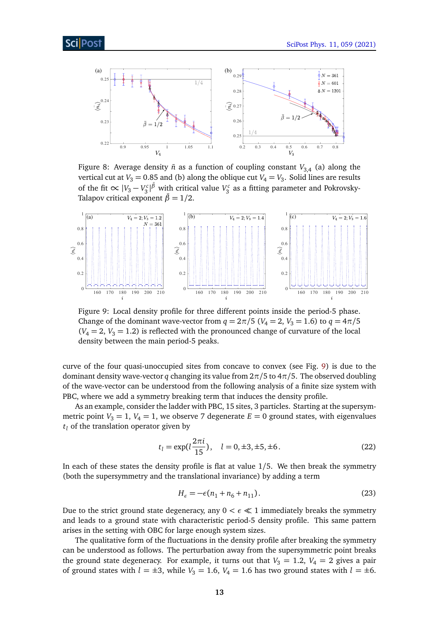<span id="page-13-0"></span>

Figure 8: Average density  $\bar{n}$  as a function of coupling constant  $V_{3,4}$  (a) along the vertical cut at  $V_3 = 0.85$  and (b) along the oblique cut  $V_4 = V_3$ . Solid lines are results of the fit  $\propto |V_3 - V_3^c|^{\tilde{\beta}}$  with critical value  $V_3^c$  as a fitting parameter and Pokrovsky-Talapov critical exponent  $\beta = 1/2$ .

<span id="page-13-1"></span>

Figure 9: Local density profile for three different points inside the period-5 phase. Change of the dominant wave-vector from  $q = 2\pi/5$  ( $V_4 = 2$ ,  $V_3 = 1.6$ ) to  $q = 4\pi/5$  $(V_4 = 2, V_3 = 1.2)$  is reflected with the pronounced change of curvature of the local density between the main period-5 peaks.

curve of the four quasi-unoccupied sites from concave to convex (see Fig. [9\)](#page-13-1) is due to the dominant density wave-vector *q* changing its value from  $2\pi/5$  to  $4\pi/5$ . The observed doubling of the wave-vector can be understood from the following analysis of a finite size system with PBC, where we add a symmetry breaking term that induces the density profile.

As an example, consider the ladder with PBC, 15 sites, 3 particles. Starting at the supersymmetric point  $V_3 = 1$ ,  $V_4 = 1$ , we observe 7 degenerate  $E = 0$  ground states, with eigenvalues  $t_l$  of the translation operator given by

$$
t_l = \exp(l\frac{2\pi i}{15}), \quad l = 0, \pm 3, \pm 5, \pm 6.
$$
 (22)

In each of these states the density profile is flat at value 1*/*5. We then break the symmetry (both the supersymmetry and the translational invariance) by adding a term

$$
H_{\epsilon} = -\epsilon (n_1 + n_6 + n_{11}).
$$
\n(23)

Due to the strict ground state degeneracy, any  $0 < \epsilon \ll 1$  immediately breaks the symmetry and leads to a ground state with characteristic period-5 density profile. This same pattern arises in the setting with OBC for large enough system sizes.

The qualitative form of the fluctuations in the density profile after breaking the symmetry can be understood as follows. The perturbation away from the supersymmetric point breaks the ground state degeneracy. For example, it turns out that  $V_3 = 1.2$ ,  $V_4 = 2$  gives a pair of ground states with  $l = \pm 3$ , while  $V_3 = 1.6$ ,  $V_4 = 1.6$  has two ground states with  $l = \pm 6$ .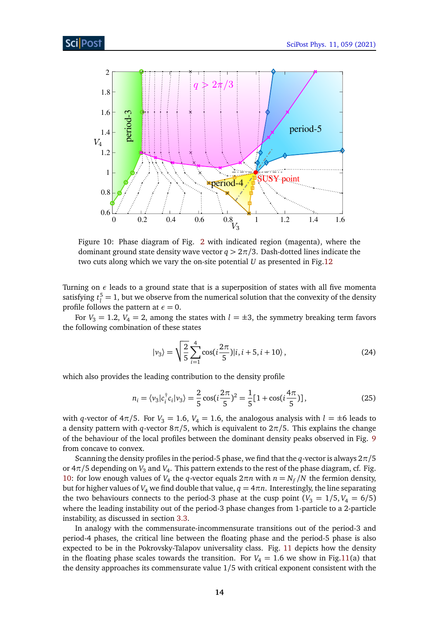<span id="page-14-0"></span>

Figure 10: Phase diagram of Fig. [2](#page-7-1) with indicated region (magenta), where the dominant ground state density wave vector  $q > 2\pi/3$ . Dash-dotted lines indicate the two cuts along which we vary the on-site potential *U* as presented in Fig[.12](#page-16-0)

Turning on *ε* leads to a ground state that is a superposition of states with all five momenta satisfying  $t_l^5 = 1$ , but we observe from the numerical solution that the convexity of the density profile follows the pattern at  $\epsilon = 0$ .

For  $V_3 = 1.2$ ,  $V_4 = 2$ , among the states with  $l = \pm 3$ , the symmetry breaking term favors the following combination of these states

$$
|\nu_3\rangle = \sqrt{\frac{2}{5}} \sum_{i=1}^{4} \cos\left(i\frac{2\pi}{5}\right) |i, i+5, i+10\rangle, \tag{24}
$$

which also provides the leading contribution to the density profile

$$
n_i = \langle v_3 | c_i^{\dagger} c_i | v_3 \rangle = \frac{2}{5} \cos\left(i\frac{2\pi}{5}\right)^2 = \frac{1}{5} [1 + \cos\left(i\frac{4\pi}{5}\right)],\tag{25}
$$

with *q*-vector of  $4\pi/5$ . For  $V_3 = 1.6$ ,  $V_4 = 1.6$ , the analogous analysis with  $l = \pm 6$  leads to a density pattern with *q*-vector 8*π/*5, which is equivalent to 2*π/*5. This explains the change of the behaviour of the local profiles between the dominant density peaks observed in Fig. [9](#page-13-1) from concave to convex.

Scanning the density profiles in the period-5 phase, we find that the *q*-vector is always 2*π/*5 or 4 $\pi$ /5 depending on  $V_3$  and  $V_4$ . This pattern extends to the rest of the phase diagram, cf. Fig. [10:](#page-14-0) for low enough values of *V*<sub>4</sub> the *q*-vector equals  $2π*n*$  with  $n = N_f/N$  the fermion density, but for higher values of  $V_4$  we find double that value,  $q = 4\pi n$ . Interestingly, the line separating the two behaviours connects to the period-3 phase at the cusp point ( $V_3 = 1/5, V_4 = 6/5$ ) where the leading instability out of the period-3 phase changes from 1-particle to a 2-particle instability, as discussed in section [3.3.](#page-9-0)

In analogy with the commensurate-incommensurate transitions out of the period-3 and period-4 phases, the critical line between the floating phase and the period-5 phase is also expected to be in the Pokrovsky-Talapov universality class. Fig. [11](#page-15-2) depicts how the density in the floating phase scales towards the transition. For  $V_4 = 1.6$  we show in Fig[.11\(](#page-15-2)a) that the density approaches its commensurate value 1*/*5 with critical exponent consistent with the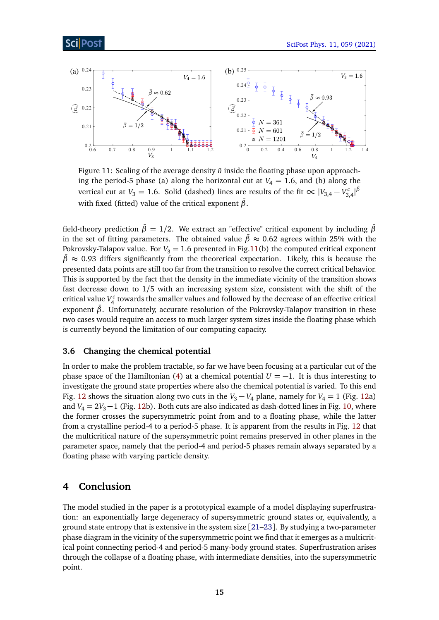<span id="page-15-2"></span>

Figure 11: Scaling of the average density  $\bar{n}$  inside the floating phase upon approaching the period-5 phase (a) along the horizontal cut at  $V_4 = 1.6$ , and (b) along the vertical cut at  $V_3 = 1.6$ . Solid (dashed) lines are results of the fit  $\propto |V_{3,4} - V_{3,4}^c|^{\tilde{\beta}}$ with fixed (fitted) value of the critical exponent  $\bar{\beta}$ .

field-theory prediction  $\bar{\beta} = 1/2$ . We extract an "effective" critical exponent by including  $\bar{\beta}$ in the set of fitting parameters. The obtained value  $\bar{\beta} \approx 0.62$  agrees within 25% with the Pokrovsky-Talapov value. For  $V_3 = 1.6$  presented in Fig[.11\(](#page-15-2)b) the computed critical exponent  $\bar{\beta}$   $\approx$  0.93 differs significantly from the theoretical expectation. Likely, this is because the presented data points are still too far from the transition to resolve the correct critical behavior. This is supported by the fact that the density in the immediate vicinity of the transition shows fast decrease down to 1*/*5 with an increasing system size, consistent with the shift of the critical value  $V_4^c$  towards the smaller values and followed by the decrease of an effective critical exponent  $β$ . Unfortunately, accurate resolution of the Pokrovsky-Talapov transition in these two cases would require an access to much larger system sizes inside the floating phase which is currently beyond the limitation of our computing capacity.

#### <span id="page-15-0"></span>**3.6 Changing the chemical potential**

In order to make the problem tractable, so far we have been focusing at a particular cut of the phase space of the Hamiltonian [\(4\)](#page-4-0) at a chemical potential  $U = -1$ . It is thus interesting to investigate the ground state properties where also the chemical potential is varied. To this end Fig. [12](#page-16-0) shows the situation along two cuts in the  $V_3 - V_4$  plane, namely for  $V_4 = 1$  (Fig. [12a](#page-16-0)) and  $V_4 = 2V_3 - 1$  (Fig. [12b](#page-16-0)). Both cuts are also indicated as dash-dotted lines in Fig. [10,](#page-14-0) where the former crosses the supersymmetric point from and to a floating phase, while the latter from a crystalline period-4 to a period-5 phase. It is apparent from the results in Fig. [12](#page-16-0) that the multicritical nature of the supersymmetric point remains preserved in other planes in the parameter space, namely that the period-4 and period-5 phases remain always separated by a floating phase with varying particle density.

### <span id="page-15-1"></span>**4 Conclusion**

The model studied in the paper is a prototypical example of a model displaying superfrustration: an exponentially large degeneracy of supersymmetric ground states or, equivalently, a ground state entropy that is extensive in the system size [[21–](#page-20-1)[23](#page-20-2)]. By studying a two-parameter phase diagram in the vicinity of the supersymmetric point we find that it emerges as a multicritical point connecting period-4 and period-5 many-body ground states. Superfrustration arises through the collapse of a floating phase, with intermediate densities, into the supersymmetric point.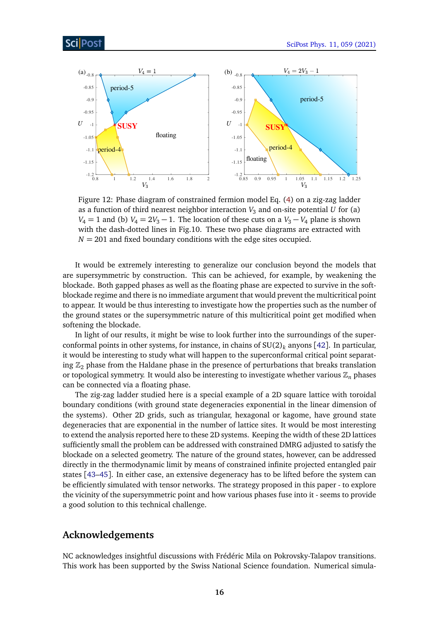<span id="page-16-0"></span>

Figure 12: Phase diagram of constrained fermion model Eq. [\(4\)](#page-4-0) on a zig-zag ladder as a function of third nearest neighbor interaction  $V_3$  and on-site potential  $U$  for (a) *V*<sub>4</sub> = 1 and (b) *V*<sub>4</sub> =  $2V_3 - 1$ . The location of these cuts on a *V*<sub>3</sub> − *V*<sub>4</sub> plane is shown with the dash-dotted lines in Fig.10. These two phase diagrams are extracted with  $N = 201$  and fixed boundary conditions with the edge sites occupied.

It would be extremely interesting to generalize our conclusion beyond the models that are supersymmetric by construction. This can be achieved, for example, by weakening the blockade. Both gapped phases as well as the floating phase are expected to survive in the softblockade regime and there is no immediate argument that would prevent the multicritical point to appear. It would be thus interesting to investigate how the properties such as the number of the ground states or the supersymmetric nature of this multicritical point get modified when softening the blockade.

In light of our results, it might be wise to look further into the surroundings of the superconformal points in other systems, for instance, in chains of  $SU(2)_k$  anyons [[42](#page-21-5)]. In particular, it would be interesting to study what will happen to the superconformal critical point separating  $\mathbb{Z}_2$  phase from the Haldane phase in the presence of perturbations that breaks translation or topological symmetry. It would also be interesting to investigate whether various  $\mathbb{Z}_n$  phases can be connected via a floating phase.

The zig-zag ladder studied here is a special example of a 2D square lattice with toroidal boundary conditions (with ground state degeneracies exponential in the linear dimension of the systems). Other 2D grids, such as triangular, hexagonal or kagome, have ground state degeneracies that are exponential in the number of lattice sites. It would be most interesting to extend the analysis reported here to these 2D systems. Keeping the width of these 2D lattices sufficiently small the problem can be addressed with constrained DMRG adjusted to satisfy the blockade on a selected geometry. The nature of the ground states, however, can be addressed directly in the thermodynamic limit by means of constrained infinite projected entangled pair states [[43–](#page-21-6)[45](#page-21-7)]. In either case, an extensive degeneracy has to be lifted before the system can be efficiently simulated with tensor networks. The strategy proposed in this paper - to explore the vicinity of the supersymmetric point and how various phases fuse into it - seems to provide a good solution to this technical challenge.

### **Acknowledgements**

NC acknowledges insightful discussions with Frédéric Mila on Pokrovsky-Talapov transitions. This work has been supported by the Swiss National Science foundation. Numerical simula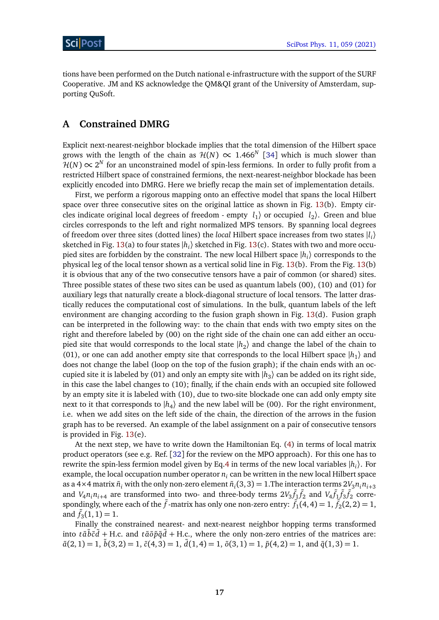tions have been performed on the Dutch national e-infrastructure with the support of the SURF Cooperative. JM and KS acknowledge the QM&QI grant of the University of Amsterdam, supporting QuSoft.

### <span id="page-17-0"></span>**A Constrained DMRG**

Explicit next-nearest-neighbor blockade implies that the total dimension of the Hilbert space grows with the length of the chain as  $\mathcal{H}(N) \propto 1.466^N$  [[34](#page-20-12)] which is much slower than  $\mathcal{H}(N) \propto 2^N$  for an unconstrained model of spin-less fermions. In order to fully profit from a restricted Hilbert space of constrained fermions, the next-nearest-neighbor blockade has been explicitly encoded into DMRG. Here we briefly recap the main set of implementation details.

First, we perform a rigorous mapping onto an effective model that spans the local Hilbert space over three consecutive sites on the original lattice as shown in Fig. [13\(](#page-18-2)b). Empty circles indicate original local degrees of freedom - empty  $l_1$  or occupied  $l_2$ ). Green and blue circles corresponds to the left and right normalized MPS tensors. By spanning local degrees of freedom over three sites (dotted lines) the *local* Hilbert space increases from two states |*l i* 〉 sketched in Fig. [13\(](#page-18-2)a) to four states  $|h_i\rangle$  sketched in Fig. 13(c). States with two and more occupied sites are forbidden by the constraint. The new local Hilbert space  $\ket{h_i}$  corresponds to the physical leg of the local tensor shown as a vertical solid line in Fig. [13\(](#page-18-2)b). From the Fig. [13\(](#page-18-2)b) it is obvious that any of the two consecutive tensors have a pair of common (or shared) sites. Three possible states of these two sites can be used as quantum labels (00), (10) and (01) for auxiliary legs that naturally create a block-diagonal structure of local tensors. The latter drastically reduces the computational cost of simulations. In the bulk, quantum labels of the left environment are changing according to the fusion graph shown in Fig. [13\(](#page-18-2)d). Fusion graph can be interpreted in the following way: to the chain that ends with two empty sites on the right and therefore labeled by (00) on the right side of the chain one can add either an occupied site that would corresponds to the local state  $|h_2\rangle$  and change the label of the chain to (01), or one can add another empty site that corresponds to the local Hilbert space  $|h_1\rangle$  and does not change the label (loop on the top of the fusion graph); if the chain ends with an occupied site it is labeled by (01) and only an empty site with  $|h_3\rangle$  can be added on its right side, in this case the label changes to (10); finally, if the chain ends with an occupied site followed by an empty site it is labeled with (10), due to two-site blockade one can add only empty site next to it that corresponds to  $|h_4\rangle$  and the new label will be (00). For the right environment, i.e. when we add sites on the left side of the chain, the direction of the arrows in the fusion graph has to be reversed. An example of the label assignment on a pair of consecutive tensors is provided in Fig. [13\(](#page-18-2)e).

At the next step, we have to write down the Hamiltonian Eq. [\(4\)](#page-4-0) in terms of local matrix product operators (see e.g. Ref. [[32](#page-20-10)] for the review on the MPO approach). For this one has to rewrite the spin-less fermion model given by Eq[.4](#page-4-0) in terms of the new local variables |*h<sup>i</sup>* 〉. For example, the local occupation number operator  $n_i$  can be written in the new local Hilbert space as a 4×4 matrix  $\tilde{n}_i$  with the only non-zero element  $\tilde{n}_i(3,3) = 1$ . The interaction terms  $2V_3 n_i n_{i+3}$ and  $V_4n_in_{i+4}$  are transformed into two- and three-body terms  $2V_3\tilde{f}_1\tilde{f}_2$  and  $V_4\tilde{f}_1\tilde{f}_3\tilde{f}_2$  correspondingly, where each of the  $\tilde{f}$  -matrix has only one non-zero entry:  $\tilde{f}_1(4,4) = 1$ ,  $\tilde{f}_2(2,2) = 1$ , and  $\tilde{f}_3(1,1) = 1$ .

Finally the constrained nearest- and next-nearest neighbor hopping terms transformed into  $t\tilde{a}\tilde{b}\tilde{c}\tilde{d}$  + H.c. and  $t\tilde{a}\tilde{o}\tilde{p}\tilde{q}\tilde{d}$  + H.c., where the only non-zero entries of the matrices are:  $\tilde{a}(2, 1) = 1$ ,  $\tilde{b}(3, 2) = 1$ ,  $\tilde{c}(4, 3) = 1$ ,  $\tilde{d}(1, 4) = 1$ ,  $\tilde{b}(3, 1) = 1$ ,  $\tilde{p}(4, 2) = 1$ , and  $\tilde{q}(1, 3) = 1$ .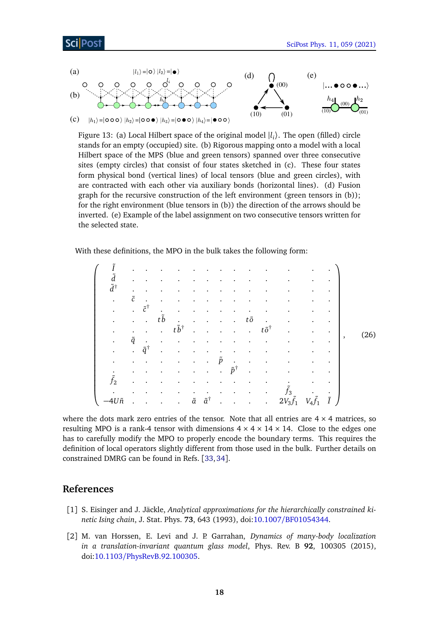### **Post**

<span id="page-18-2"></span>

Figure 13: (a) Local Hilbert space of the original model  $|l_i\rangle$ . The open (filled) circle stands for an empty (occupied) site. (b) Rigorous mapping onto a model with a local Hilbert space of the MPS (blue and green tensors) spanned over three consecutive sites (empty circles) that consist of four states sketched in (c). These four states form physical bond (vertical lines) of local tensors (blue and green circles), with are contracted with each other via auxiliary bonds (horizontal lines). (d) Fusion graph for the recursive construction of the left environment (green tensors in (b)); for the right environment (blue tensors in (b)) the direction of the arrows should be inverted. (e) Example of the label assignment on two consecutive tensors written for the selected state.

With these definitions, the MPO in the bulk takes the following form:

<span id="page-18-0"></span>

| $\tilde{d}$         |             |                       |                      |                      |           |                                   |                      |                       |                      |                        |                   |                   |             |                |      |
|---------------------|-------------|-----------------------|----------------------|----------------------|-----------|-----------------------------------|----------------------|-----------------------|----------------------|------------------------|-------------------|-------------------|-------------|----------------|------|
| $\tilde{d}^\dagger$ |             |                       |                      |                      |           |                                   |                      |                       |                      |                        |                   |                   |             |                |      |
| $\bullet$           | $\tilde{c}$ |                       |                      |                      |           |                                   |                      |                       |                      |                        |                   |                   | ٠           |                |      |
| $\bullet$           | $\bullet$   | $\tilde{c}^{\dagger}$ |                      |                      |           |                                   |                      |                       |                      |                        |                   |                   | $\bullet$   |                |      |
|                     |             |                       | $t\tilde{b}$         |                      |           |                                   |                      |                       | tõ                   |                        |                   |                   |             |                |      |
|                     | $\bullet$   |                       | $\ddot{\phantom{a}}$ | $t\tilde{b}^\dagger$ |           |                                   |                      |                       | $\sim$               | $t\tilde{o}^{\dagger}$ |                   |                   | $\bullet$   |                |      |
| $\bullet$           | $\tilde{q}$ | $\bullet$             |                      |                      |           |                                   |                      |                       |                      |                        |                   |                   | $\bullet$   | $\overline{ }$ | (26) |
| $\bullet$           |             | $\tilde{q}^{\dagger}$ |                      |                      |           |                                   |                      |                       |                      |                        |                   |                   |             |                |      |
| $\bullet$           |             |                       |                      |                      | $\bullet$ |                                   | $\tilde{p}$          | $\blacksquare$ .      | $\bullet$            |                        |                   |                   |             |                |      |
| $\bullet$           | $\bullet$   |                       |                      |                      | $\bullet$ | $\bullet$                         | $\ddot{\phantom{0}}$ | $\tilde{p}^{\dagger}$ | $\ddot{\phantom{0}}$ |                        |                   |                   |             |                |      |
| $\tilde{f}_2$       |             |                       |                      |                      |           |                                   |                      |                       |                      |                        |                   |                   |             |                |      |
|                     |             |                       |                      |                      | $\bullet$ | $\bullet$                         |                      |                       |                      |                        | $f_3$             |                   | $\bullet$   |                |      |
| $-4U\tilde{n}$      |             |                       | $\sim 10$            | $\ddot{\phantom{a}}$ |           | $\tilde{a}$ $\tilde{a}^{\dagger}$ | $\bullet$            | $\bullet$             | $\sim 10^{-10}$      | $\bullet$              | $2V_3\tilde{f}_1$ | $V_4 \tilde{f_1}$ | $\tilde{I}$ |                |      |

where the dots mark zero entries of the tensor. Note that all entries are  $4 \times 4$  matrices, so resulting MPO is a rank-4 tensor with dimensions  $4 \times 4 \times 14 \times 14$ . Close to the edges one has to carefully modify the MPO to properly encode the boundary terms. This requires the definition of local operators slightly different from those used in the bulk. Further details on constrained DMRG can be found in Refs. [[33,](#page-20-11)[34](#page-20-12)].

# **References**

- <span id="page-18-1"></span>[1] S. Eisinger and J. Jäckle, *Analytical approximations for the hierarchically constrained kinetic Ising chain*, J. Stat. Phys. **73**, 643 (1993), doi:10.1007/[BF01054344.](https://doi.org/10.1007/BF01054344)
- [2] M. van Horssen, E. Levi and J. P. Garrahan, *Dynamics of many-body localization in a translation-invariant quantum glass model*, Phys. Rev. B **92**, 100305 (2015), doi:10.1103/[PhysRevB.92.100305.](https://doi.org/10.1103/PhysRevB.92.100305)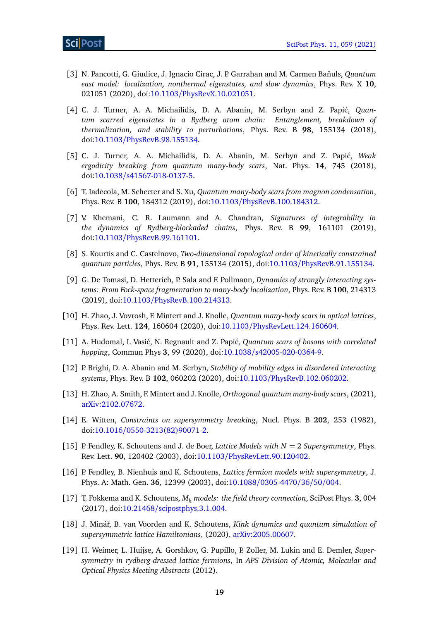- <span id="page-19-0"></span>[3] N. Pancotti, G. Giudice, J. Ignacio Cirac, J. P. Garrahan and M. Carmen Bañuls, *Quantum east model: localization, nonthermal eigenstates, and slow dynamics*, Phys. Rev. X **10**, 021051 (2020), doi:10.1103/[PhysRevX.10.021051.](https://doi.org/10.1103/PhysRevX.10.021051)
- <span id="page-19-1"></span>[4] C. J. Turner, A. A. Michailidis, D. A. Abanin, M. Serbyn and Z. Papić, *Quantum scarred eigenstates in a Rydberg atom chain: Entanglement, breakdown of thermalization, and stability to perturbations*, Phys. Rev. B **98**, 155134 (2018), doi:10.1103/[PhysRevB.98.155134.](https://doi.org/10.1103/PhysRevB.98.155134)
- [5] C. J. Turner, A. A. Michailidis, D. A. Abanin, M. Serbyn and Z. Papi´c, *Weak ergodicity breaking from quantum many-body scars*, Nat. Phys. **14**, 745 (2018), doi:10.1038/[s41567-018-0137-5.](https://doi.org/10.1038/s41567-018-0137-5)
- [6] T. Iadecola, M. Schecter and S. Xu, *Quantum many-body scars from magnon condensation*, Phys. Rev. B **100**, 184312 (2019), doi:10.1103/[PhysRevB.100.184312.](https://doi.org/10.1103/PhysRevB.100.184312)
- <span id="page-19-2"></span>[7] V. Khemani, C. R. Laumann and A. Chandran, *Signatures of integrability in the dynamics of Rydberg-blockaded chains*, Phys. Rev. B **99**, 161101 (2019), doi:10.1103/[PhysRevB.99.161101.](https://doi.org/10.1103/PhysRevB.99.161101)
- <span id="page-19-3"></span>[8] S. Kourtis and C. Castelnovo, *Two-dimensional topological order of kinetically constrained quantum particles*, Phys. Rev. B **91**, 155134 (2015), doi:10.1103/[PhysRevB.91.155134.](https://doi.org/10.1103/PhysRevB.91.155134)
- <span id="page-19-4"></span>[9] G. De Tomasi, D. Hetterich, P. Sala and F. Pollmann, *Dynamics of strongly interacting systems: From Fock-space fragmentation to many-body localization*, Phys. Rev. B **100**, 214313 (2019), doi:10.1103/[PhysRevB.100.214313.](https://doi.org/10.1103/PhysRevB.100.214313)
- [10] H. Zhao, J. Vovrosh, F. Mintert and J. Knolle, *Quantum many-body scars in optical lattices*, Phys. Rev. Lett. **124**, 160604 (2020), doi:10.1103/[PhysRevLett.124.160604.](https://doi.org/10.1103/PhysRevLett.124.160604)
- [11] A. Hudomal, I. Vasić, N. Regnault and Z. Papić, *Quantum scars of bosons with correlated hopping*, Commun Phys **3**, 99 (2020), doi:10.1038/[s42005-020-0364-9.](https://doi.org/10.1038/s42005-020-0364-9)
- [12] P. Brighi, D. A. Abanin and M. Serbyn, *Stability of mobility edges in disordered interacting systems*, Phys. Rev. B **102**, 060202 (2020), doi:10.1103/[PhysRevB.102.060202.](https://doi.org/10.1103/PhysRevB.102.060202)
- <span id="page-19-5"></span>[13] H. Zhao, A. Smith, F. Mintert and J. Knolle, *Orthogonal quantum many-body scars*, (2021), [arXiv:2102.07672.](https://arxiv.org/abs/2102.07672)
- <span id="page-19-6"></span>[14] E. Witten, *Constraints on supersymmetry breaking*, Nucl. Phys. B **202**, 253 (1982), doi:10.1016/[0550-3213\(82\)90071-2.](https://doi.org/10.1016/0550-3213(82)90071-2)
- <span id="page-19-7"></span>[15] P. Fendley, K. Schoutens and J. de Boer, *Lattice Models with*  $N = 2$  *Supersymmetry*, Phys. Rev. Lett. **90**, 120402 (2003), doi:10.1103/[PhysRevLett.90.120402.](https://doi.org/10.1103/PhysRevLett.90.120402)
- [16] P. Fendley, B. Nienhuis and K. Schoutens, *Lattice fermion models with supersymmetry*, J. Phys. A: Math. Gen. **36**, 12399 (2003), doi:10.1088/[0305-4470](https://doi.org/10.1088/0305-4470/36/50/004)/36/50/004.
- <span id="page-19-8"></span>[17] T. Fokkema and K. Schoutens, *M<sup>k</sup> models: the field theory connection*, SciPost Phys. **3**, 004 (2017), doi:10.21468/[scipostphys.3.1.004.](https://doi.org/10.21468/scipostphys.3.1.004)
- <span id="page-19-9"></span>[18] J. Mináˇr, B. van Voorden and K. Schoutens, *Kink dynamics and quantum simulation of supersymmetric lattice Hamiltonians*, (2020), [arXiv:2005.00607.](https://arxiv.org/abs/2005.00607)
- [19] H. Weimer, L. Huijse, A. Gorshkov, G. Pupillo, P. Zoller, M. Lukin and E. Demler, *Supersymmetry in rydberg-dressed lattice fermions*, In *APS Division of Atomic, Molecular and Optical Physics Meeting Abstracts* (2012).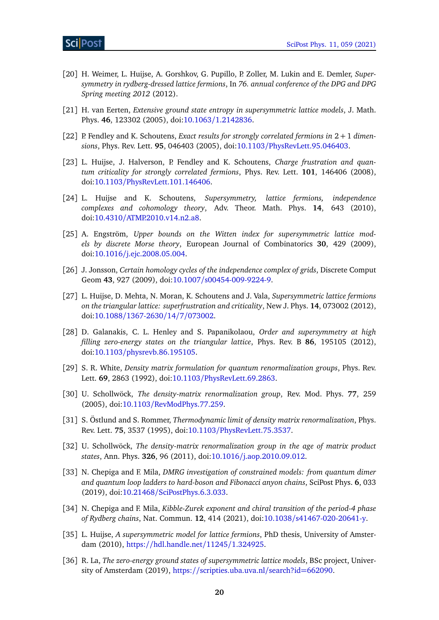- <span id="page-20-0"></span>[20] H. Weimer, L. Huijse, A. Gorshkov, G. Pupillo, P. Zoller, M. Lukin and E. Demler, *Supersymmetry in rydberg-dressed lattice fermions*, In *76. annual conference of the DPG and DPG Spring meeting 2012* (2012).
- <span id="page-20-1"></span>[21] H. van Eerten, *Extensive ground state entropy in supersymmetric lattice models*, J. Math. Phys. **46**, 123302 (2005), doi:10.1063/[1.2142836.](https://doi.org/10.1063/1.2142836)
- <span id="page-20-3"></span>[22] P. Fendley and K. Schoutens, *Exact results for strongly correlated fermions in* 2 + 1 *dimensions*, Phys. Rev. Lett. **95**, 046403 (2005), doi:10.1103/[PhysRevLett.95.046403.](https://doi.org/10.1103/PhysRevLett.95.046403)
- <span id="page-20-2"></span>[23] L. Huijse, J. Halverson, P. Fendley and K. Schoutens, *Charge frustration and quantum criticality for strongly correlated fermions*, Phys. Rev. Lett. **101**, 146406 (2008), doi:10.1103/[PhysRevLett.101.146406.](https://doi.org/10.1103/PhysRevLett.101.146406)
- <span id="page-20-4"></span>[24] L. Huijse and K. Schoutens, *Supersymmetry, lattice fermions, independence complexes and cohomology theory*, Adv. Theor. Math. Phys. **14**, 643 (2010), doi:10.4310/[ATMP.2010.v14.n2.a8.](https://doi.org/10.4310/ATMP.2010.v14.n2.a8)
- <span id="page-20-5"></span>[25] A. Engström, *Upper bounds on the Witten index for supersymmetric lattice models by discrete Morse theory*, European Journal of Combinatorics **30**, 429 (2009), doi:10.1016/[j.ejc.2008.05.004.](https://doi.org/10.1016/j.ejc.2008.05.004)
- <span id="page-20-6"></span>[26] J. Jonsson, *Certain homology cycles of the independence complex of grids*, Discrete Comput Geom **43**, 927 (2009), doi:10.1007/[s00454-009-9224-9.](https://doi.org/10.1007/s00454-009-9224-9)
- <span id="page-20-7"></span>[27] L. Huijse, D. Mehta, N. Moran, K. Schoutens and J. Vala, *Supersymmetric lattice fermions on the triangular lattice: superfrustration and criticality*, New J. Phys. **14**, 073002 (2012), doi:10.1088/[1367-2630](https://doi.org/10.1088/1367-2630/14/7/073002)/14/7/073002.
- <span id="page-20-8"></span>[28] D. Galanakis, C. L. Henley and S. Papanikolaou, *Order and supersymmetry at high filling zero-energy states on the triangular lattice*, Phys. Rev. B **86**, 195105 (2012), doi:10.1103/[physrevb.86.195105.](https://doi.org/10.1103/physrevb.86.195105)
- <span id="page-20-9"></span>[29] S. R. White, *Density matrix formulation for quantum renormalization groups*, Phys. Rev. Lett. **69**, 2863 (1992), doi:10.1103/[PhysRevLett.69.2863.](https://doi.org/10.1103/PhysRevLett.69.2863)
- [30] U. Schollwöck, *The density-matrix renormalization group*, Rev. Mod. Phys. **77**, 259 (2005), doi:10.1103/[RevModPhys.77.259.](https://doi.org/10.1103/RevModPhys.77.259)
- [31] S. Östlund and S. Rommer, *Thermodynamic limit of density matrix renormalization*, Phys. Rev. Lett. **75**, 3537 (1995), doi:10.1103/[PhysRevLett.75.3537.](https://doi.org/10.1103/PhysRevLett.75.3537)
- <span id="page-20-10"></span>[32] U. Schollwöck, *The density-matrix renormalization group in the age of matrix product states*, Ann. Phys. **326**, 96 (2011), doi:10.1016/[j.aop.2010.09.012.](https://doi.org/10.1016/j.aop.2010.09.012)
- <span id="page-20-11"></span>[33] N. Chepiga and F. Mila, *DMRG investigation of constrained models: from quantum dimer and quantum loop ladders to hard-boson and Fibonacci anyon chains*, SciPost Phys. **6**, 033 (2019), doi:10.21468/[SciPostPhys.6.3.033.](https://doi.org/10.21468/SciPostPhys.6.3.033)
- <span id="page-20-12"></span>[34] N. Chepiga and F. Mila, *Kibble-Zurek exponent and chiral transition of the period-4 phase of Rydberg chains*, Nat. Commun. **12**, 414 (2021), doi:10.1038/[s41467-020-20641-y.](https://doi.org/10.1038/s41467-020-20641-y)
- <span id="page-20-13"></span>[35] L. Huijse, *A supersymmetric model for lattice fermions*, PhD thesis, University of Amsterdam (2010), https://[hdl.handle.net](https://hdl.handle.net/11245/1.324925)/11245/1.324925.
- <span id="page-20-14"></span>[36] R. La, *The zero-energy ground states of supersymmetric lattice models*, BSc project, University of Amsterdam (2019), https://[scripties.uba.uva.nl](https://scripties.uba.uva.nl/search?id=662090)/search?id=662090.